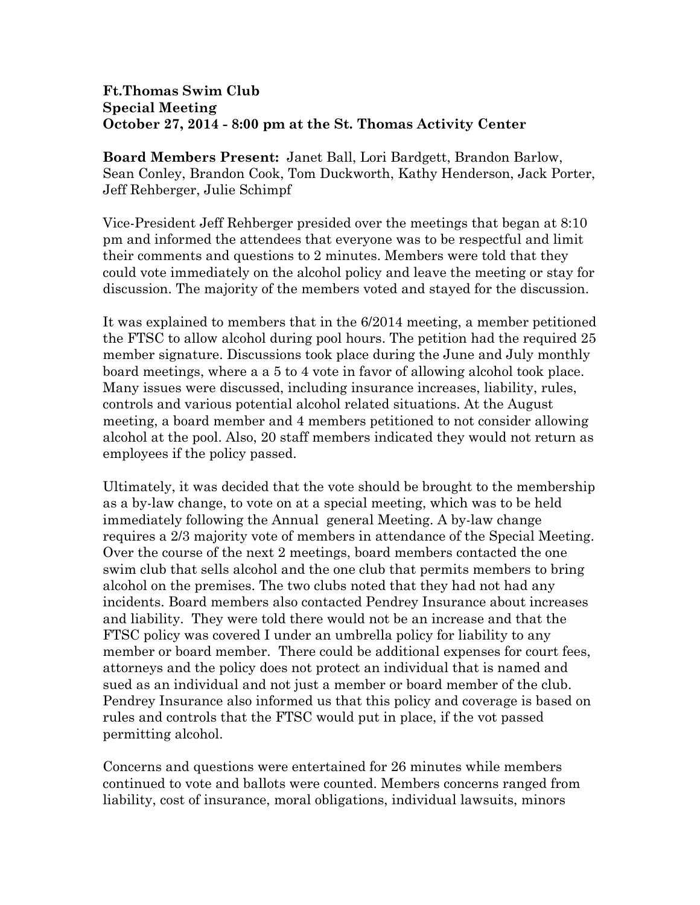## **Ft.Thomas Swim Club Special Meeting October 27, 2014 - 8:00 pm at the St. Thomas Activity Center**

**Board Members Present:** Janet Ball, Lori Bardgett, Brandon Barlow, Sean Conley, Brandon Cook, Tom Duckworth, Kathy Henderson, Jack Porter, Jeff Rehberger, Julie Schimpf

Vice-President Jeff Rehberger presided over the meetings that began at 8:10 pm and informed the attendees that everyone was to be respectful and limit their comments and questions to 2 minutes. Members were told that they could vote immediately on the alcohol policy and leave the meeting or stay for discussion. The majority of the members voted and stayed for the discussion.

It was explained to members that in the 6/2014 meeting, a member petitioned the FTSC to allow alcohol during pool hours. The petition had the required 25 member signature. Discussions took place during the June and July monthly board meetings, where a a 5 to 4 vote in favor of allowing alcohol took place. Many issues were discussed, including insurance increases, liability, rules, controls and various potential alcohol related situations. At the August meeting, a board member and 4 members petitioned to not consider allowing alcohol at the pool. Also, 20 staff members indicated they would not return as employees if the policy passed.

Ultimately, it was decided that the vote should be brought to the membership as a by-law change, to vote on at a special meeting, which was to be held immediately following the Annual general Meeting. A by-law change requires a 2/3 majority vote of members in attendance of the Special Meeting. Over the course of the next 2 meetings, board members contacted the one swim club that sells alcohol and the one club that permits members to bring alcohol on the premises. The two clubs noted that they had not had any incidents. Board members also contacted Pendrey Insurance about increases and liability. They were told there would not be an increase and that the FTSC policy was covered I under an umbrella policy for liability to any member or board member. There could be additional expenses for court fees, attorneys and the policy does not protect an individual that is named and sued as an individual and not just a member or board member of the club. Pendrey Insurance also informed us that this policy and coverage is based on rules and controls that the FTSC would put in place, if the vot passed permitting alcohol.

Concerns and questions were entertained for 26 minutes while members continued to vote and ballots were counted. Members concerns ranged from liability, cost of insurance, moral obligations, individual lawsuits, minors